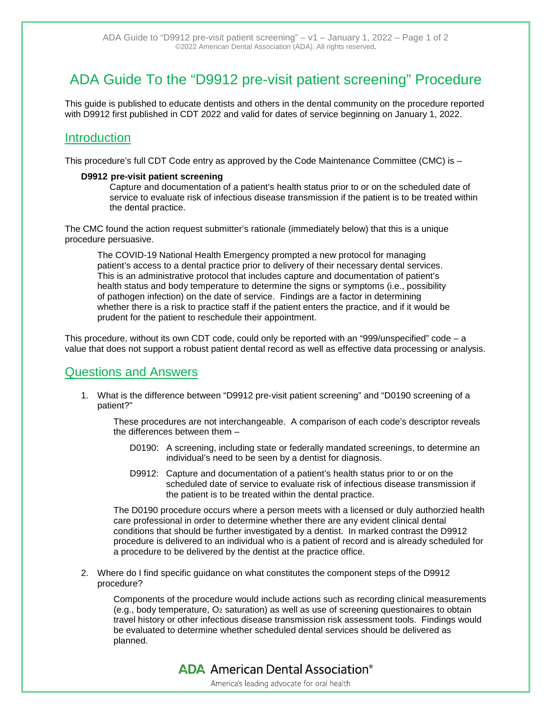# ADA Guide To the "D9912 pre-visit patient screening" Procedure

This guide is published to educate dentists and others in the dental community on the procedure reported with D9912 first published in CDT 2022 and valid for dates of service beginning on January 1, 2022.

## Introduction

This procedure's full CDT Code entry as approved by the Code Maintenance Committee (CMC) is –

### **D9912 pre-visit patient screening**

Capture and documentation of a patient's health status prior to or on the scheduled date of service to evaluate risk of infectious disease transmission if the patient is to be treated within the dental practice.

The CMC found the action request submitter's rationale (immediately below) that this is a unique procedure persuasive.

The COVID-19 National Health Emergency prompted a new protocol for managing patient's access to a dental practice prior to delivery of their necessary dental services. This is an administrative protocol that includes capture and documentation of patient's health status and body temperature to determine the signs or symptoms (i.e., possibility of pathogen infection) on the date of service. Findings are a factor in determining whether there is a risk to practice staff if the patient enters the practice, and if it would be prudent for the patient to reschedule their appointment.

This procedure, without its own CDT code, could only be reported with an "999/unspecified" code – a value that does not support a robust patient dental record as well as effective data processing or analysis.

### Questions and Answers

1. What is the difference between "D9912 pre-visit patient screening" and "D0190 screening of a patient?"

These procedures are not interchangeable. A comparison of each code's descriptor reveals the differences between them –

- D0190: A screening, including state or federally mandated screenings, to determine an individual's need to be seen by a dentist for diagnosis.
- D9912: Capture and documentation of a patient's health status prior to or on the scheduled date of service to evaluate risk of infectious disease transmission if the patient is to be treated within the dental practice.

The D0190 procedure occurs where a person meets with a licensed or duly authorzied health care professional in order to determine whether there are any evident clinical dental conditions that should be further investigated by a dentist. In marked contrast the D9912 procedure is delivered to an individual who is a patient of record and is already scheduled for a procedure to be delivered by the dentist at the practice office.

2. Where do I find specific guidance on what constitutes the component steps of the D9912 procedure?

Components of the procedure would include actions such as recording clinical measurements (e.g., body temperature,  $O_2$  saturation) as well as use of screening questionaires to obtain travel history or other infectious disease transmission risk assessment tools. Findings would be evaluated to determine whether scheduled dental services should be delivered as planned.